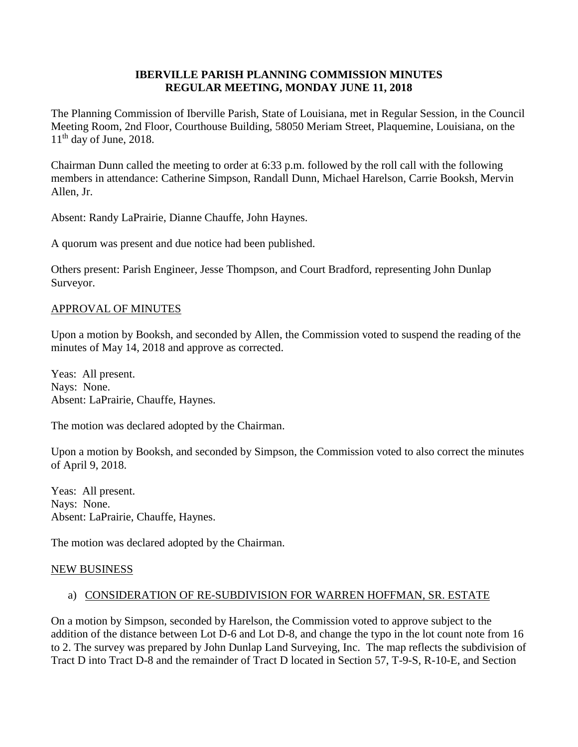### **IBERVILLE PARISH PLANNING COMMISSION MINUTES REGULAR MEETING, MONDAY JUNE 11, 2018**

The Planning Commission of Iberville Parish, State of Louisiana, met in Regular Session, in the Council Meeting Room, 2nd Floor, Courthouse Building, 58050 Meriam Street, Plaquemine, Louisiana, on the  $11<sup>th</sup>$  day of June, 2018.

Chairman Dunn called the meeting to order at 6:33 p.m. followed by the roll call with the following members in attendance: Catherine Simpson, Randall Dunn, Michael Harelson, Carrie Booksh, Mervin Allen, Jr.

Absent: Randy LaPrairie, Dianne Chauffe, John Haynes.

A quorum was present and due notice had been published.

Others present: Parish Engineer, Jesse Thompson, and Court Bradford, representing John Dunlap Surveyor.

#### APPROVAL OF MINUTES

Upon a motion by Booksh, and seconded by Allen, the Commission voted to suspend the reading of the minutes of May 14, 2018 and approve as corrected.

Yeas: All present. Nays: None. Absent: LaPrairie, Chauffe, Haynes.

The motion was declared adopted by the Chairman.

Upon a motion by Booksh, and seconded by Simpson, the Commission voted to also correct the minutes of April 9, 2018.

Yeas: All present. Nays: None. Absent: LaPrairie, Chauffe, Haynes.

The motion was declared adopted by the Chairman.

#### NEW BUSINESS

## a) CONSIDERATION OF RE-SUBDIVISION FOR WARREN HOFFMAN, SR. ESTATE

On a motion by Simpson, seconded by Harelson, the Commission voted to approve subject to the addition of the distance between Lot D-6 and Lot D-8, and change the typo in the lot count note from 16 to 2. The survey was prepared by John Dunlap Land Surveying, Inc. The map reflects the subdivision of Tract D into Tract D-8 and the remainder of Tract D located in Section 57, T-9-S, R-10-E, and Section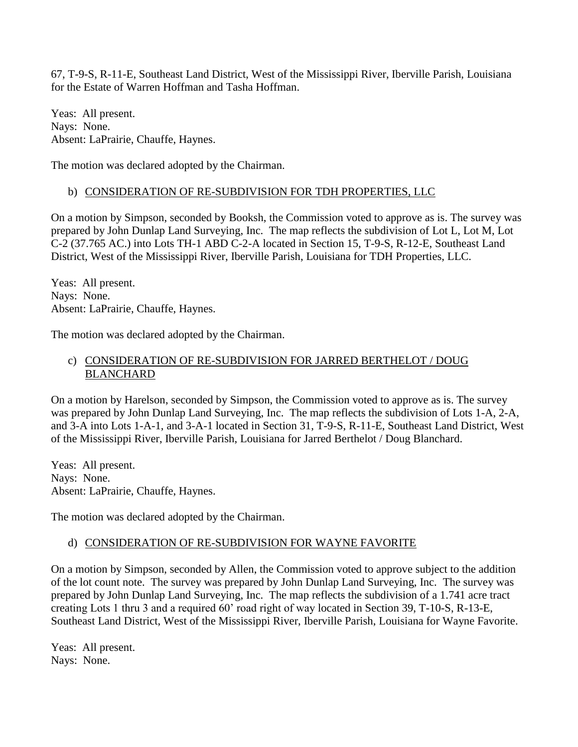67, T-9-S, R-11-E, Southeast Land District, West of the Mississippi River, Iberville Parish, Louisiana for the Estate of Warren Hoffman and Tasha Hoffman.

Yeas: All present. Nays: None. Absent: LaPrairie, Chauffe, Haynes.

The motion was declared adopted by the Chairman.

# b) CONSIDERATION OF RE-SUBDIVISION FOR TDH PROPERTIES, LLC

On a motion by Simpson, seconded by Booksh, the Commission voted to approve as is. The survey was prepared by John Dunlap Land Surveying, Inc. The map reflects the subdivision of Lot L, Lot M, Lot C-2 (37.765 AC.) into Lots TH-1 ABD C-2-A located in Section 15, T-9-S, R-12-E, Southeast Land District, West of the Mississippi River, Iberville Parish, Louisiana for TDH Properties, LLC.

Yeas: All present. Nays: None. Absent: LaPrairie, Chauffe, Haynes.

The motion was declared adopted by the Chairman.

# c) CONSIDERATION OF RE-SUBDIVISION FOR JARRED BERTHELOT / DOUG BLANCHARD

On a motion by Harelson, seconded by Simpson, the Commission voted to approve as is. The survey was prepared by John Dunlap Land Surveying, Inc. The map reflects the subdivision of Lots 1-A, 2-A, and 3-A into Lots 1-A-1, and 3-A-1 located in Section 31, T-9-S, R-11-E, Southeast Land District, West of the Mississippi River, Iberville Parish, Louisiana for Jarred Berthelot / Doug Blanchard.

Yeas: All present. Nays: None. Absent: LaPrairie, Chauffe, Haynes.

The motion was declared adopted by the Chairman.

# d) CONSIDERATION OF RE-SUBDIVISION FOR WAYNE FAVORITE

On a motion by Simpson, seconded by Allen, the Commission voted to approve subject to the addition of the lot count note. The survey was prepared by John Dunlap Land Surveying, Inc. The survey was prepared by John Dunlap Land Surveying, Inc. The map reflects the subdivision of a 1.741 acre tract creating Lots 1 thru 3 and a required 60' road right of way located in Section 39, T-10-S, R-13-E, Southeast Land District, West of the Mississippi River, Iberville Parish, Louisiana for Wayne Favorite.

Yeas: All present. Nays: None.